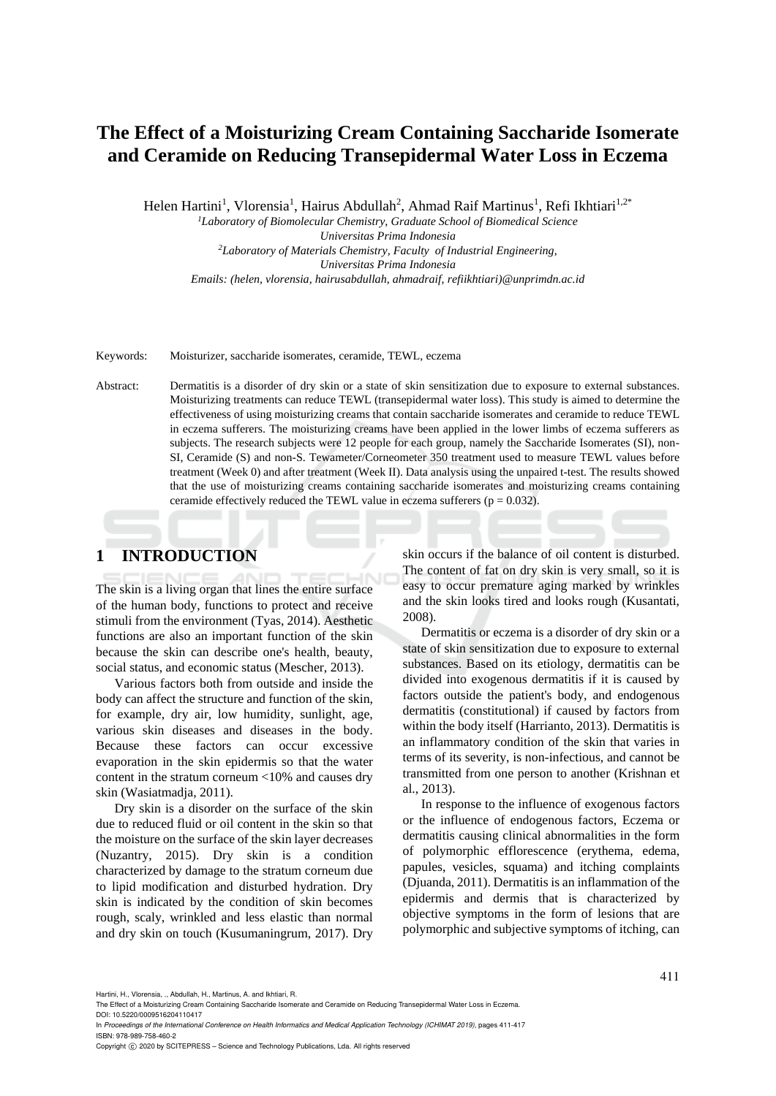# **The Effect of a Moisturizing Cream Containing Saccharide Isomerate and Ceramide on Reducing Transepidermal Water Loss in Eczema**

Helen Hartini<sup>1</sup>, Vlorensia<sup>1</sup>, Hairus Abdullah<sup>2</sup>, Ahmad Raif Martinus<sup>1</sup>, Refi Ikhtiari<sup>1,2\*</sup>

*<sup>1</sup>Laboratory of Biomolecular Chemistry, Graduate School of Biomedical Science* 

*Universitas Prima Indonesia <sup>2</sup>Laboratory of Materials Chemistry, Faculty of Industrial Engineering, Universitas Prima Indonesia Emails: (helen, vlorensia, hairusabdullah, ahmadraif, refiikhtiari)@unprimdn.ac.id*

#### Keywords: Moisturizer, saccharide isomerates, ceramide, TEWL, eczema

Abstract: Dermatitis is a disorder of dry skin or a state of skin sensitization due to exposure to external substances. Moisturizing treatments can reduce TEWL (transepidermal water loss). This study is aimed to determine the effectiveness of using moisturizing creams that contain saccharide isomerates and ceramide to reduce TEWL in eczema sufferers. The moisturizing creams have been applied in the lower limbs of eczema sufferers as subjects. The research subjects were 12 people for each group, namely the Saccharide Isomerates (SI), non-SI, Ceramide (S) and non-S. Tewameter/Corneometer 350 treatment used to measure TEWL values before treatment (Week 0) and after treatment (Week II). Data analysis using the unpaired t-test. The results showed that the use of moisturizing creams containing saccharide isomerates and moisturizing creams containing ceramide effectively reduced the TEWL value in eczema sufferers ( $p = 0.032$ ).

# **1 INTRODUCTION**

The skin is a living organ that lines the entire surface of the human body, functions to protect and receive stimuli from the environment (Tyas, 2014). Aesthetic functions are also an important function of the skin because the skin can describe one's health, beauty, social status, and economic status (Mescher, 2013).

Various factors both from outside and inside the body can affect the structure and function of the skin, for example, dry air, low humidity, sunlight, age, various skin diseases and diseases in the body. Because these factors can occur excessive evaporation in the skin epidermis so that the water content in the stratum corneum <10% and causes dry skin (Wasiatmadja, 2011).

Dry skin is a disorder on the surface of the skin due to reduced fluid or oil content in the skin so that the moisture on the surface of the skin layer decreases (Nuzantry, 2015). Dry skin is a condition characterized by damage to the stratum corneum due to lipid modification and disturbed hydration. Dry skin is indicated by the condition of skin becomes rough, scaly, wrinkled and less elastic than normal and dry skin on touch (Kusumaningrum, 2017). Dry

skin occurs if the balance of oil content is disturbed. The content of fat on dry skin is very small, so it is easy to occur premature aging marked by wrinkles and the skin looks tired and looks rough (Kusantati, 2008).

Dermatitis or eczema is a disorder of dry skin or a state of skin sensitization due to exposure to external substances. Based on its etiology, dermatitis can be divided into exogenous dermatitis if it is caused by factors outside the patient's body, and endogenous dermatitis (constitutional) if caused by factors from within the body itself (Harrianto, 2013). Dermatitis is an inflammatory condition of the skin that varies in terms of its severity, is non-infectious, and cannot be transmitted from one person to another (Krishnan et al., 2013).

In response to the influence of exogenous factors or the influence of endogenous factors, Eczema or dermatitis causing clinical abnormalities in the form of polymorphic efflorescence (erythema, edema, papules, vesicles, squama) and itching complaints (Djuanda, 2011). Dermatitis is an inflammation of the epidermis and dermis that is characterized by objective symptoms in the form of lesions that are polymorphic and subjective symptoms of itching, can

Hartini, H., Vlorensia, ., Abdullah, H., Martinus, A. and Ikhtiari, R.

The Effect of a Moisturizing Cream Containing Saccharide Isomerate and Ceramide on Reducing Transepidermal Water Loss in Eczema.

DOI: 10.5220/0009516204110417 In *Proceedings of the International Conference on Health Informatics and Medical Application Technology (ICHIMAT 2019)*, pages 411-417 ISBN: 978-989-758-460-2

Copyright (C) 2020 by SCITEPRESS - Science and Technology Publications, Lda. All rights reserved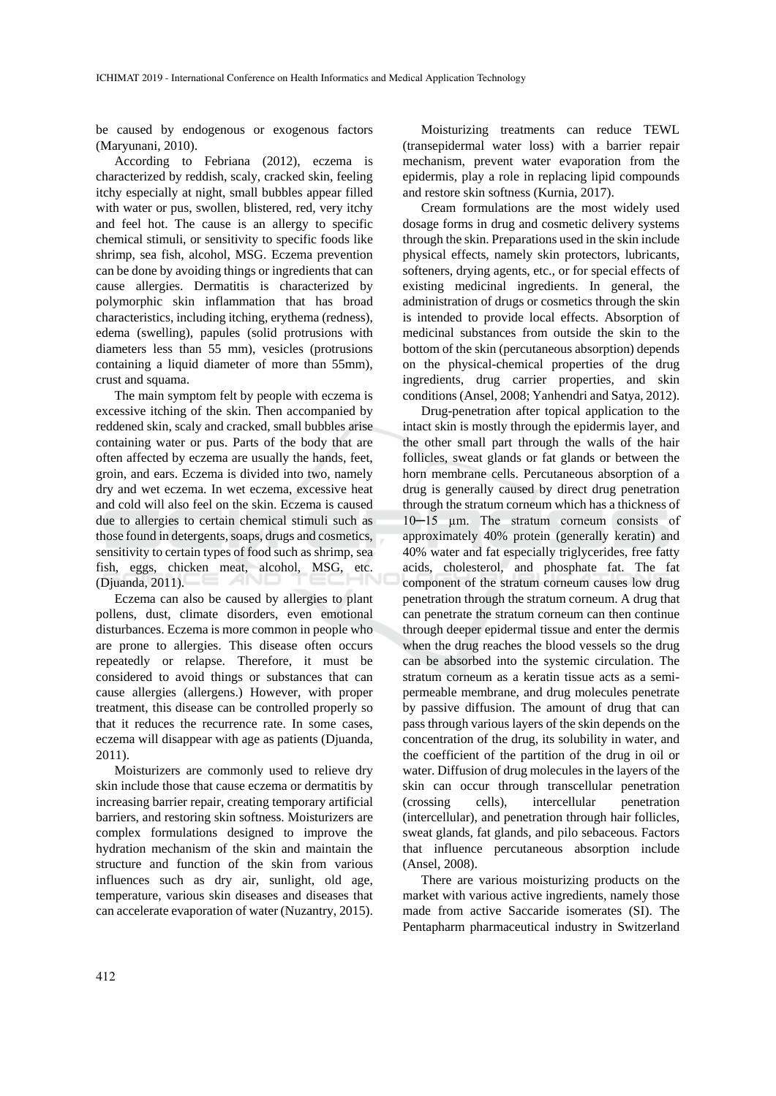be caused by endogenous or exogenous factors (Maryunani, 2010).

According to Febriana (2012), eczema is characterized by reddish, scaly, cracked skin, feeling itchy especially at night, small bubbles appear filled with water or pus, swollen, blistered, red, very itchy and feel hot. The cause is an allergy to specific chemical stimuli, or sensitivity to specific foods like shrimp, sea fish, alcohol, MSG. Eczema prevention can be done by avoiding things or ingredients that can cause allergies. Dermatitis is characterized by polymorphic skin inflammation that has broad characteristics, including itching, erythema (redness), edema (swelling), papules (solid protrusions with diameters less than 55 mm), vesicles (protrusions containing a liquid diameter of more than 55mm), crust and squama.

The main symptom felt by people with eczema is excessive itching of the skin. Then accompanied by reddened skin, scaly and cracked, small bubbles arise containing water or pus. Parts of the body that are often affected by eczema are usually the hands, feet, groin, and ears. Eczema is divided into two, namely dry and wet eczema. In wet eczema, excessive heat and cold will also feel on the skin. Eczema is caused due to allergies to certain chemical stimuli such as those found in detergents, soaps, drugs and cosmetics, sensitivity to certain types of food such as shrimp, sea fish, eggs, chicken meat, alcohol, MSG, etc. (Djuanda, 2011).

Eczema can also be caused by allergies to plant pollens, dust, climate disorders, even emotional disturbances. Eczema is more common in people who are prone to allergies. This disease often occurs repeatedly or relapse. Therefore, it must be considered to avoid things or substances that can cause allergies (allergens.) However, with proper treatment, this disease can be controlled properly so that it reduces the recurrence rate. In some cases, eczema will disappear with age as patients (Djuanda, 2011).

Moisturizers are commonly used to relieve dry skin include those that cause eczema or dermatitis by increasing barrier repair, creating temporary artificial barriers, and restoring skin softness. Moisturizers are complex formulations designed to improve the hydration mechanism of the skin and maintain the structure and function of the skin from various influences such as dry air, sunlight, old age, temperature, various skin diseases and diseases that can accelerate evaporation of water (Nuzantry, 2015).

Moisturizing treatments can reduce TEWL (transepidermal water loss) with a barrier repair mechanism, prevent water evaporation from the epidermis, play a role in replacing lipid compounds and restore skin softness (Kurnia, 2017).

Cream formulations are the most widely used dosage forms in drug and cosmetic delivery systems through the skin. Preparations used in the skin include physical effects, namely skin protectors, lubricants, softeners, drying agents, etc., or for special effects of existing medicinal ingredients. In general, the administration of drugs or cosmetics through the skin is intended to provide local effects. Absorption of medicinal substances from outside the skin to the bottom of the skin (percutaneous absorption) depends on the physical-chemical properties of the drug ingredients, drug carrier properties, and skin conditions (Ansel, 2008; Yanhendri and Satya, 2012).

Drug-penetration after topical application to the intact skin is mostly through the epidermis layer, and the other small part through the walls of the hair follicles, sweat glands or fat glands or between the horn membrane cells. Percutaneous absorption of a drug is generally caused by direct drug penetration through the stratum corneum which has a thickness of 10─15 µm. The stratum corneum consists of approximately 40% protein (generally keratin) and 40% water and fat especially triglycerides, free fatty acids, cholesterol, and phosphate fat. The fat component of the stratum corneum causes low drug penetration through the stratum corneum. A drug that can penetrate the stratum corneum can then continue through deeper epidermal tissue and enter the dermis when the drug reaches the blood vessels so the drug can be absorbed into the systemic circulation. The stratum corneum as a keratin tissue acts as a semipermeable membrane, and drug molecules penetrate by passive diffusion. The amount of drug that can pass through various layers of the skin depends on the concentration of the drug, its solubility in water, and the coefficient of the partition of the drug in oil or water. Diffusion of drug molecules in the layers of the skin can occur through transcellular penetration (crossing cells), intercellular penetration (intercellular), and penetration through hair follicles, sweat glands, fat glands, and pilo sebaceous. Factors that influence percutaneous absorption include (Ansel, 2008).

There are various moisturizing products on the market with various active ingredients, namely those made from active Saccaride isomerates (SI). The Pentapharm pharmaceutical industry in Switzerland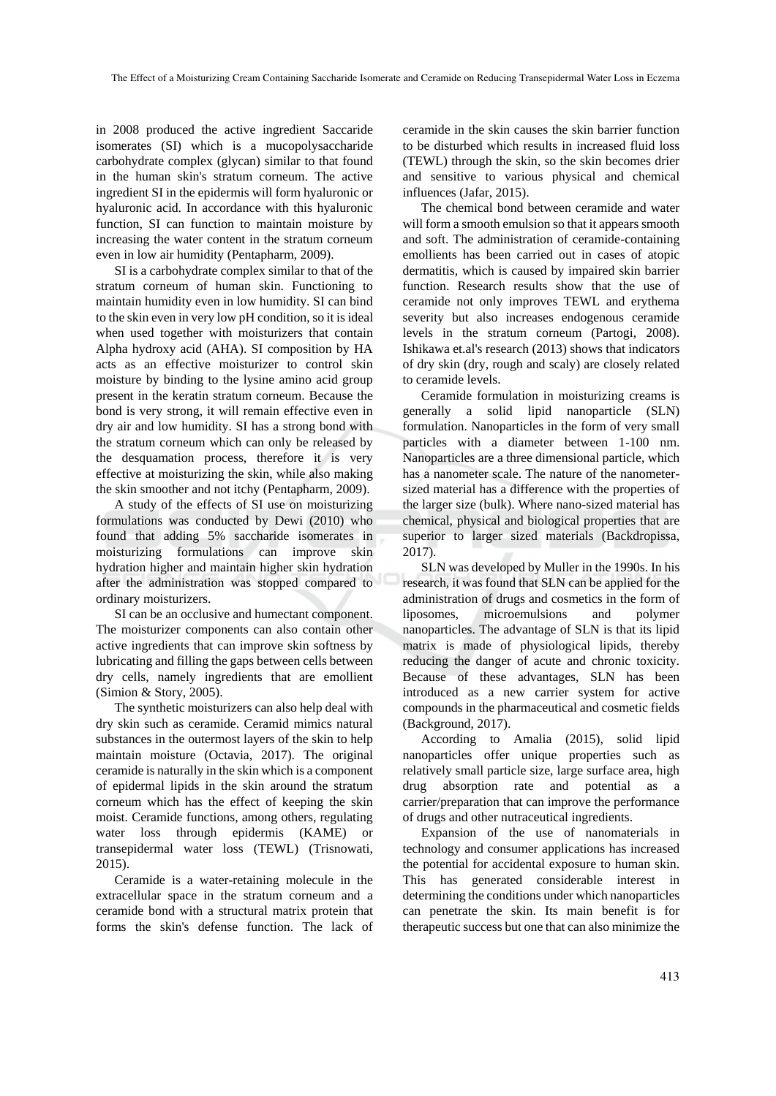in 2008 produced the active ingredient Saccaride isomerates (SI) which is a mucopolysaccharide carbohydrate complex (glycan) similar to that found in the human skin's stratum corneum. The active ingredient SI in the epidermis will form hyaluronic or hyaluronic acid. In accordance with this hyaluronic function, SI can function to maintain moisture by increasing the water content in the stratum corneum even in low air humidity (Pentapharm, 2009).

SI is a carbohydrate complex similar to that of the stratum corneum of human skin. Functioning to maintain humidity even in low humidity. SI can bind to the skin even in very low pH condition, so it is ideal when used together with moisturizers that contain Alpha hydroxy acid (AHA). SI composition by HA acts as an effective moisturizer to control skin moisture by binding to the lysine amino acid group present in the keratin stratum corneum. Because the bond is very strong, it will remain effective even in dry air and low humidity. SI has a strong bond with the stratum corneum which can only be released by the desquamation process, therefore it is very effective at moisturizing the skin, while also making the skin smoother and not itchy (Pentapharm, 2009).

A study of the effects of SI use on moisturizing formulations was conducted by Dewi (2010) who found that adding 5% saccharide isomerates in moisturizing formulations can improve skin hydration higher and maintain higher skin hydration after the administration was stopped compared to ordinary moisturizers.

SI can be an occlusive and humectant component. The moisturizer components can also contain other active ingredients that can improve skin softness by lubricating and filling the gaps between cells between dry cells, namely ingredients that are emollient (Simion & Story, 2005).

The synthetic moisturizers can also help deal with dry skin such as ceramide. Ceramid mimics natural substances in the outermost layers of the skin to help maintain moisture (Octavia, 2017). The original ceramide is naturally in the skin which is a component of epidermal lipids in the skin around the stratum corneum which has the effect of keeping the skin moist. Ceramide functions, among others, regulating water loss through epidermis (KAME) or transepidermal water loss (TEWL) (Trisnowati, 2015).

Ceramide is a water-retaining molecule in the extracellular space in the stratum corneum and a ceramide bond with a structural matrix protein that forms the skin's defense function. The lack of

ceramide in the skin causes the skin barrier function to be disturbed which results in increased fluid loss (TEWL) through the skin, so the skin becomes drier and sensitive to various physical and chemical influences (Jafar, 2015).

The chemical bond between ceramide and water will form a smooth emulsion so that it appears smooth and soft. The administration of ceramide-containing emollients has been carried out in cases of atopic dermatitis, which is caused by impaired skin barrier function. Research results show that the use of ceramide not only improves TEWL and erythema severity but also increases endogenous ceramide levels in the stratum corneum (Partogi, 2008). Ishikawa et.al's research (2013) shows that indicators of dry skin (dry, rough and scaly) are closely related to ceramide levels.

Ceramide formulation in moisturizing creams is generally a solid lipid nanoparticle (SLN) formulation. Nanoparticles in the form of very small particles with a diameter between 1-100 nm. Nanoparticles are a three dimensional particle, which has a nanometer scale. The nature of the nanometersized material has a difference with the properties of the larger size (bulk). Where nano-sized material has chemical, physical and biological properties that are superior to larger sized materials (Backdropissa, 2017).

SLN was developed by Muller in the 1990s. In his research, it was found that SLN can be applied for the administration of drugs and cosmetics in the form of liposomes, microemulsions and polymer nanoparticles. The advantage of SLN is that its lipid matrix is made of physiological lipids, thereby reducing the danger of acute and chronic toxicity. Because of these advantages, SLN has been introduced as a new carrier system for active compounds in the pharmaceutical and cosmetic fields (Background, 2017).

According to Amalia (2015), solid lipid nanoparticles offer unique properties such as relatively small particle size, large surface area, high drug absorption rate and potential as a carrier/preparation that can improve the performance of drugs and other nutraceutical ingredients.

Expansion of the use of nanomaterials in technology and consumer applications has increased the potential for accidental exposure to human skin. This has generated considerable interest in determining the conditions under which nanoparticles can penetrate the skin. Its main benefit is for therapeutic success but one that can also minimize the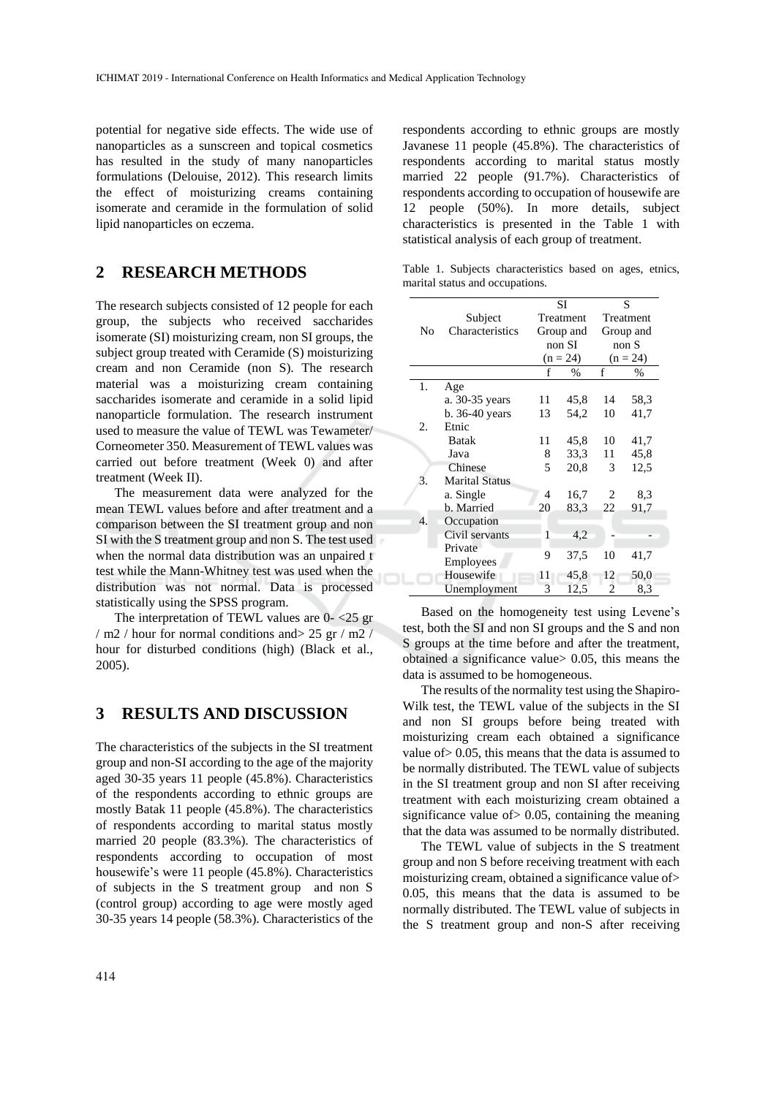potential for negative side effects. The wide use of nanoparticles as a sunscreen and topical cosmetics has resulted in the study of many nanoparticles formulations (Delouise, 2012). This research limits the effect of moisturizing creams containing isomerate and ceramide in the formulation of solid lipid nanoparticles on eczema.

# **2 RESEARCH METHODS**

The research subjects consisted of 12 people for each group, the subjects who received saccharides isomerate (SI) moisturizing cream, non SI groups, the subject group treated with Ceramide (S) moisturizing cream and non Ceramide (non S). The research material was a moisturizing cream containing saccharides isomerate and ceramide in a solid lipid nanoparticle formulation. The research instrument used to measure the value of TEWL was Tewameter/ Corneometer 350. Measurement of TEWL values was carried out before treatment (Week 0) and after treatment (Week II).

The measurement data were analyzed for the mean TEWL values before and after treatment and a comparison between the SI treatment group and non SI with the S treatment group and non S. The test used when the normal data distribution was an unpaired t test while the Mann-Whitney test was used when the distribution was not normal. Data is processed statistically using the SPSS program.

The interpretation of TEWL values are 0- <25 gr / m2 / hour for normal conditions and> 25 gr / m2 / hour for disturbed conditions (high) (Black et al., 2005).

#### **3 RESULTS AND DISCUSSION**

The characteristics of the subjects in the SI treatment group and non-SI according to the age of the majority aged 30-35 years 11 people (45.8%). Characteristics of the respondents according to ethnic groups are mostly Batak 11 people (45.8%). The characteristics of respondents according to marital status mostly married 20 people (83.3%). The characteristics of respondents according to occupation of most housewife's were 11 people (45.8%). Characteristics of subjects in the S treatment group and non S (control group) according to age were mostly aged 30-35 years 14 people (58.3%). Characteristics of the

respondents according to ethnic groups are mostly Javanese 11 people (45.8%). The characteristics of respondents according to marital status mostly married 22 people (91.7%). Characteristics of respondents according to occupation of housewife are 12 people (50%). In more details, subject characteristics is presented in the Table 1 with statistical analysis of each group of treatment.

Table 1. Subjects characteristics based on ages, etnics, marital status and occupations.

|    |                       | SI |                        | S              |            |  |
|----|-----------------------|----|------------------------|----------------|------------|--|
|    | Subject               |    | Treatment<br>Group and |                | Treatment  |  |
| No | Characteristics       |    |                        |                | Group and  |  |
|    |                       |    | non SI                 |                | nonS       |  |
|    |                       |    | $(n = 24)$             |                | $(n = 24)$ |  |
|    |                       | f  | $\frac{0}{0}$          | f              | $\%$       |  |
| 1. | Age                   |    |                        |                |            |  |
|    | a. 30-35 years        | 11 | 45,8                   | 14             | 58,3       |  |
|    | b. 36-40 years        | 13 | 54,2                   | 10             | 41,7       |  |
| 2. | Etnic                 |    |                        |                |            |  |
|    | <b>Batak</b>          | 11 | 45,8                   | 10             | 41,7       |  |
|    | Java                  | 8  | 33,3                   | 11             | 45,8       |  |
|    | Chinese               | 5  | 20,8                   | 3              | 12.5       |  |
| 3. | <b>Marital Status</b> |    |                        |                |            |  |
|    | a. Single             | 4  | 16,7                   | 2              | 8.3        |  |
|    | b. Married            | 20 | 83.3                   | 22             | 91,7       |  |
| 4. | Occupation            |    |                        |                |            |  |
|    | Civil servants        | 1  | 4,2                    |                |            |  |
|    | Private               |    |                        |                |            |  |
|    | Employees             | 9  | 37,5                   | 10             | 41,7       |  |
|    | Housewife             | 11 | 45,8                   | 12             | 50,0       |  |
|    | Unemployment          | 3  | 12,5                   | $\overline{2}$ | 8,3        |  |

Based on the homogeneity test using Levene's test, both the SI and non SI groups and the S and non S groups at the time before and after the treatment, obtained a significance value> 0.05, this means the data is assumed to be homogeneous.

The results of the normality test using the Shapiro-Wilk test, the TEWL value of the subjects in the SI and non SI groups before being treated with moisturizing cream each obtained a significance value of> 0.05, this means that the data is assumed to be normally distributed. The TEWL value of subjects in the SI treatment group and non SI after receiving treatment with each moisturizing cream obtained a significance value of> 0.05, containing the meaning that the data was assumed to be normally distributed.

The TEWL value of subjects in the S treatment group and non S before receiving treatment with each moisturizing cream, obtained a significance value of> 0.05, this means that the data is assumed to be normally distributed. The TEWL value of subjects in the S treatment group and non-S after receiving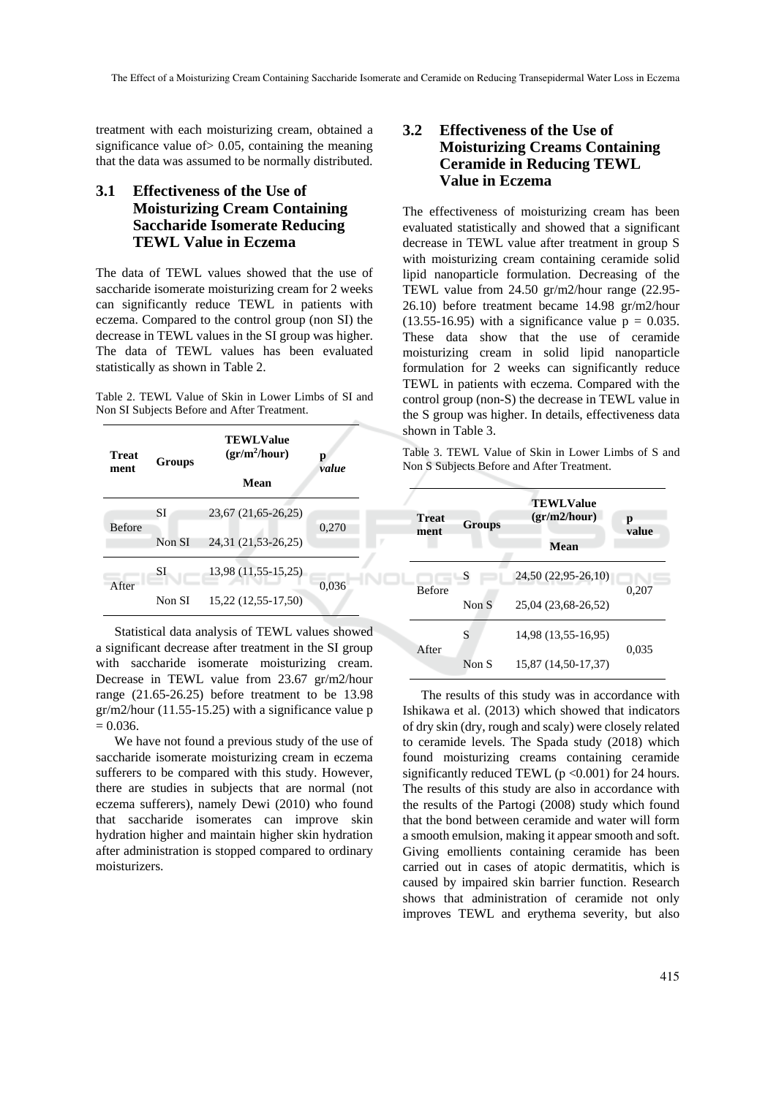NOl

treatment with each moisturizing cream, obtained a significance value of > 0.05, containing the meaning that the data was assumed to be normally distributed.

### **3.1 Effectiveness of the Use of Moisturizing Cream Containing Saccharide Isomerate Reducing TEWL Value in Eczema**

The data of TEWL values showed that the use of saccharide isomerate moisturizing cream for 2 weeks can significantly reduce TEWL in patients with eczema. Compared to the control group (non SI) the decrease in TEWL values in the SI group was higher. The data of TEWL values has been evaluated statistically as shown in Table 2.

Table 2. TEWL Value of Skin in Lower Limbs of SI and Non SI Subjects Before and After Treatment.

| Treat<br>ment | Groups | <b>TEWLValue</b><br>$gr/m^2/hour)$<br>Mean | р<br>value |
|---------------|--------|--------------------------------------------|------------|
| <b>Before</b> | SІ     | 23,67 (21,65-26,25)                        | 0,270      |
|               | Non SI | 24,31 (21,53-26,25)                        |            |
| After         | SI     | 13,98 (11,55-15,25)                        | 0,036      |
|               | Non SI | 15,22 (12,55-17,50)                        |            |

Statistical data analysis of TEWL values showed a significant decrease after treatment in the SI group with saccharide isomerate moisturizing cream. Decrease in TEWL value from 23.67 gr/m2/hour range (21.65-26.25) before treatment to be 13.98 gr/m2/hour (11.55-15.25) with a significance value p  $= 0.036.$ 

We have not found a previous study of the use of saccharide isomerate moisturizing cream in eczema sufferers to be compared with this study. However, there are studies in subjects that are normal (not eczema sufferers), namely Dewi (2010) who found that saccharide isomerates can improve skin hydration higher and maintain higher skin hydration after administration is stopped compared to ordinary moisturizers.

#### **3.2 Effectiveness of the Use of Moisturizing Creams Containing Ceramide in Reducing TEWL Value in Eczema**

The effectiveness of moisturizing cream has been evaluated statistically and showed that a significant decrease in TEWL value after treatment in group S with moisturizing cream containing ceramide solid lipid nanoparticle formulation. Decreasing of the TEWL value from 24.50 gr/m2/hour range (22.95- 26.10) before treatment became 14.98 gr/m2/hour  $(13.55-16.95)$  with a significance value  $p = 0.035$ . These data show that the use of ceramide moisturizing cream in solid lipid nanoparticle formulation for 2 weeks can significantly reduce TEWL in patients with eczema. Compared with the control group (non-S) the decrease in TEWL value in the S group was higher. In details, effectiveness data shown in Table 3.

Table 3. TEWL Value of Skin in Lower Limbs of S and Non S Subjects Before and After Treatment.

| <b>Treat</b><br>ment | <b>Groups</b> | <b>TEWLValue</b><br>gr/m2/hour)<br><b>Mean</b> | р<br>value |  |
|----------------------|---------------|------------------------------------------------|------------|--|
| <b>Before</b>        | S             | 24,50 (22,95-26,10)                            |            |  |
|                      | Non S         | 25,04 (23,68-26,52)                            | 0,207      |  |
|                      | S             | 14,98 (13,55-16,95)                            |            |  |
| After                | Non S         | 15,87 (14,50-17,37)                            | 0.035      |  |

The results of this study was in accordance with Ishikawa et al. (2013) which showed that indicators of dry skin (dry, rough and scaly) were closely related to ceramide levels. The Spada study (2018) which found moisturizing creams containing ceramide significantly reduced TEWL ( $p < 0.001$ ) for 24 hours. The results of this study are also in accordance with the results of the Partogi (2008) study which found that the bond between ceramide and water will form a smooth emulsion, making it appear smooth and soft. Giving emollients containing ceramide has been carried out in cases of atopic dermatitis, which is caused by impaired skin barrier function. Research shows that administration of ceramide not only improves TEWL and erythema severity, but also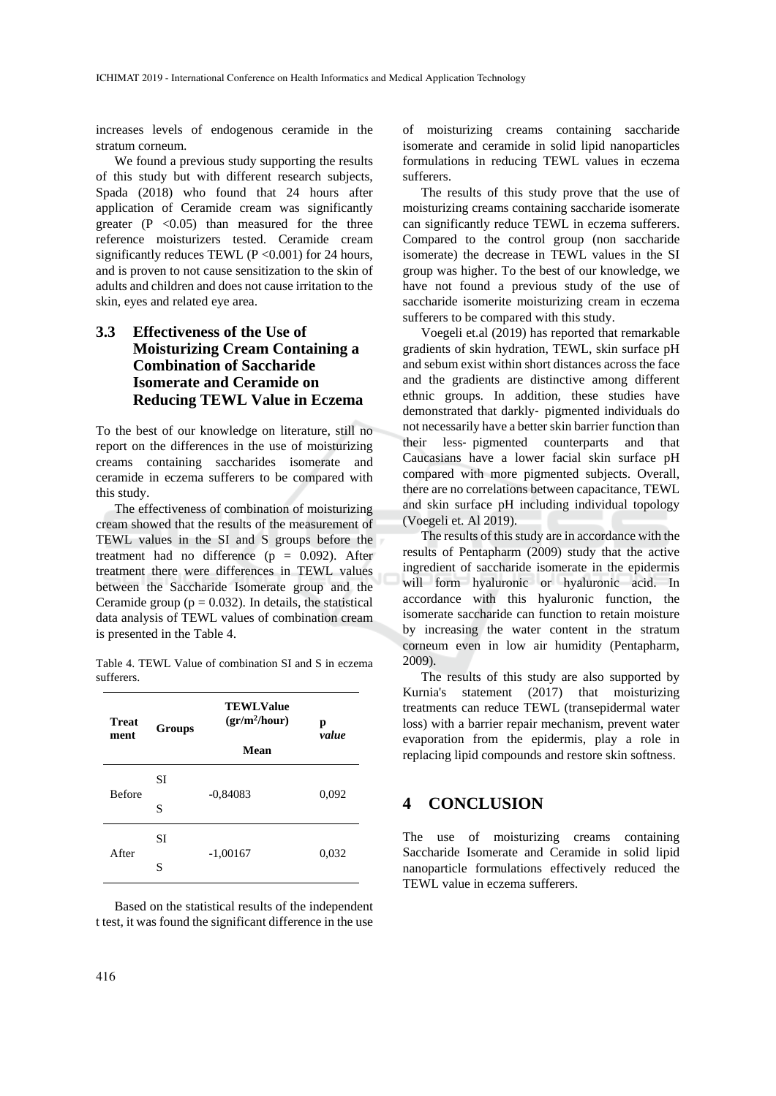increases levels of endogenous ceramide in the stratum corneum.

We found a previous study supporting the results of this study but with different research subjects, Spada (2018) who found that 24 hours after application of Ceramide cream was significantly greater  $(P \le 0.05)$  than measured for the three reference moisturizers tested. Ceramide cream significantly reduces TEWL ( $P < 0.001$ ) for 24 hours, and is proven to not cause sensitization to the skin of adults and children and does not cause irritation to the skin, eyes and related eye area.

#### **3.3 Effectiveness of the Use of Moisturizing Cream Containing a Combination of Saccharide Isomerate and Ceramide on Reducing TEWL Value in Eczema**

To the best of our knowledge on literature, still no report on the differences in the use of moisturizing creams containing saccharides isomerate and ceramide in eczema sufferers to be compared with this study.

The effectiveness of combination of moisturizing cream showed that the results of the measurement of TEWL values in the SI and S groups before the treatment had no difference  $(p = 0.092)$ . After treatment there were differences in TEWL values between the Saccharide Isomerate group and the Ceramide group ( $p = 0.032$ ). In details, the statistical data analysis of TEWL values of combination cream is presented in the Table 4.

Table 4. TEWL Value of combination SI and S in eczema sufferers.

| Treat<br>ment | <b>Groups</b> | <b>TEWLValue</b><br>$gr/m^2/hour)$ | р<br>value |
|---------------|---------------|------------------------------------|------------|
|               |               | Mean                               |            |
| <b>Before</b> | SI            | $-0,84083$                         | 0,092      |
|               | S             |                                    |            |
| After         | SI            | $-1,00167$                         | 0,032      |
|               | S             |                                    |            |

Based on the statistical results of the independent t test, it was found the significant difference in the use of moisturizing creams containing saccharide isomerate and ceramide in solid lipid nanoparticles formulations in reducing TEWL values in eczema sufferers.

The results of this study prove that the use of moisturizing creams containing saccharide isomerate can significantly reduce TEWL in eczema sufferers. Compared to the control group (non saccharide isomerate) the decrease in TEWL values in the SI group was higher. To the best of our knowledge, we have not found a previous study of the use of saccharide isomerite moisturizing cream in eczema sufferers to be compared with this study.

Voegeli et.al (2019) has reported that remarkable gradients of skin hydration, TEWL, skin surface pH and sebum exist within short distances across the face and the gradients are distinctive among different ethnic groups. In addition, these studies have demonstrated that darkly‐ pigmented individuals do not necessarily have a better skin barrier function than their less‐ pigmented counterparts and that Caucasians have a lower facial skin surface pH compared with more pigmented subjects. Overall, there are no correlations between capacitance, TEWL and skin surface pH including individual topology (Voegeli et. Al 2019).

The results of this study are in accordance with the results of Pentapharm (2009) study that the active ingredient of saccharide isomerate in the epidermis will form hyaluronic or hyaluronic acid. In accordance with this hyaluronic function, the isomerate saccharide can function to retain moisture by increasing the water content in the stratum corneum even in low air humidity (Pentapharm, 2009).

The results of this study are also supported by Kurnia's statement (2017) that moisturizing treatments can reduce TEWL (transepidermal water loss) with a barrier repair mechanism, prevent water evaporation from the epidermis, play a role in replacing lipid compounds and restore skin softness.

#### **4 CONCLUSION**

The use of moisturizing creams containing Saccharide Isomerate and Ceramide in solid lipid nanoparticle formulations effectively reduced the TEWL value in eczema sufferers.